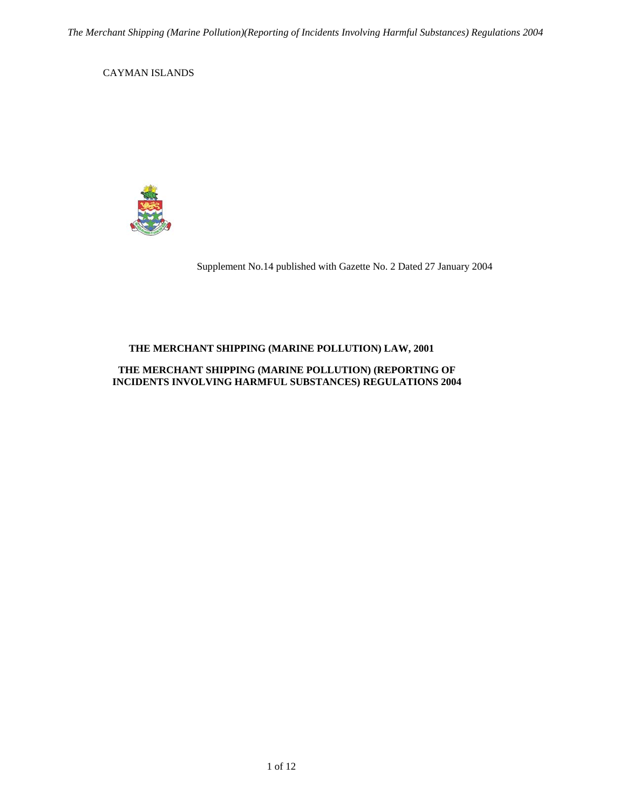CAYMAN ISLANDS



Supplement No.14 published with Gazette No. 2 Dated 27 January 2004

## **THE MERCHANT SHIPPING (MARINE POLLUTION) LAW, 2001**

## **THE MERCHANT SHIPPING (MARINE POLLUTION) (REPORTING OF INCIDENTS INVOLVING HARMFUL SUBSTANCES) REGULATIONS 2004**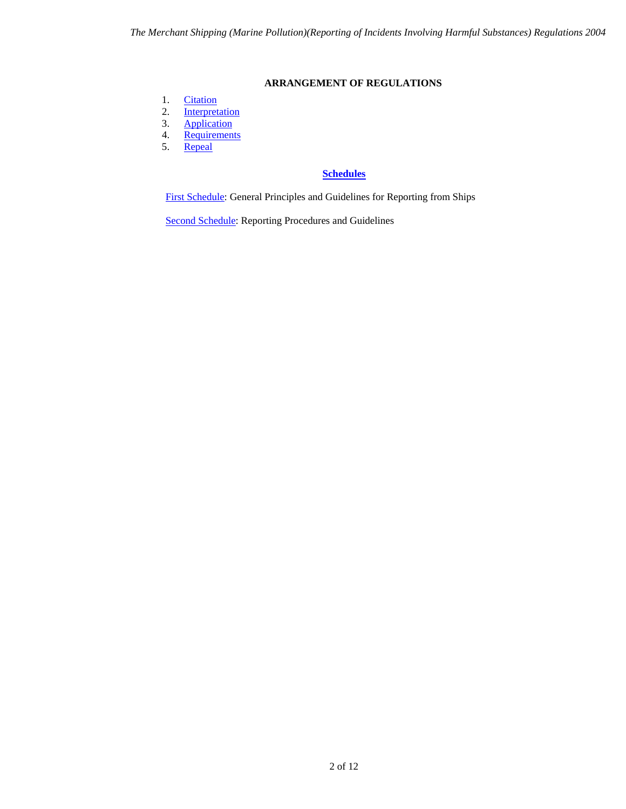## **ARRANGEMENT OF REGULATIONS**

- <span id="page-1-0"></span>1. [Citation](#page-2-0)
- 2. [Interpretation](#page-2-1)<br>3. Application
- 3. [Application](#page-2-2)<br>4. Requiremen
- 4. <u>[Requirements](#page-2-3)</u><br>5. <u>Repeal</u>
- [Repeal](#page-2-4)

# **[Schedules](#page-3-0)**

[First Schedule:](#page-3-0) General Principles and Guidelines for Reporting from Ships

[Second Schedule:](#page-5-0) Reporting Procedures and Guidelines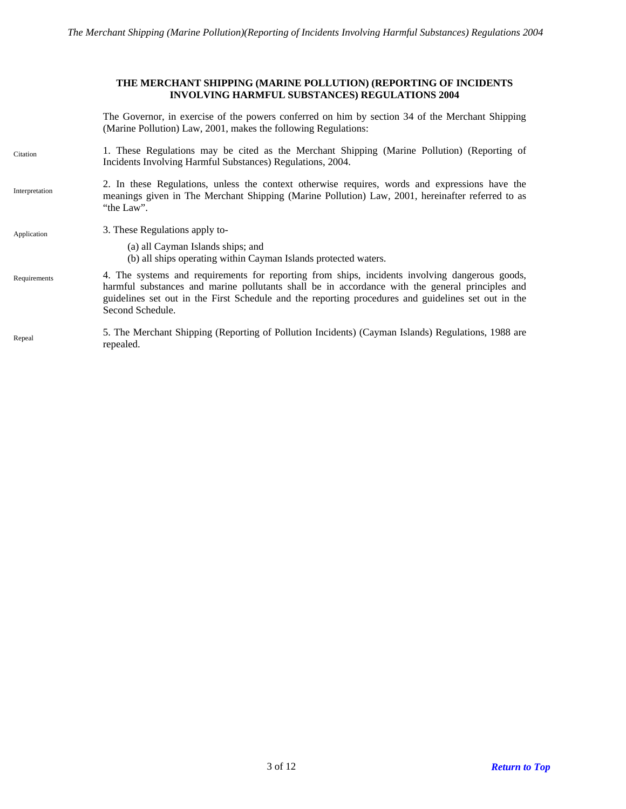#### **THE MERCHANT SHIPPING (MARINE POLLUTION) (REPORTING OF INCIDENTS INVOLVING HARMFUL SUBSTANCES) REGULATIONS 2004**

The Governor, in exercise of the powers conferred on him by section 34 of the Merchant Shipping (Marine Pollution) Law, 2001, makes the following Regulations:

- <span id="page-2-0"></span>1. These Regulations may be cited as the Merchant Shipping (Marine Pollution) (Reporting of Incidents Involving Harmful Substances) Regulations, 2004. **Citation**
- <span id="page-2-1"></span>2. In these Regulations, unless the context otherwise requires, words and expressions have the meanings given in The Merchant Shipping (Marine Pollution) Law, 2001, hereinafter referred to as "the Law". Interpretation
- <span id="page-2-3"></span><span id="page-2-2"></span>Application 3. These Regulations apply to-(a) all Cayman Islands ships; and (b) all ships operating within Cayman Islands protected waters. 4. The systems and requirements for reporting from ships, incidents involving dangerous goods, harmful substances and marine pollutants shall be in accordance with the general principles and guidelines set out in the First Schedule and the reporting procedures and guidelines set out in the Second Schedule. Requirements
- <span id="page-2-4"></span>5. The Merchant Shipping (Reporting of Pollution Incidents) (Cayman Islands) Regulations, 1988 are Repeal<br>repealed.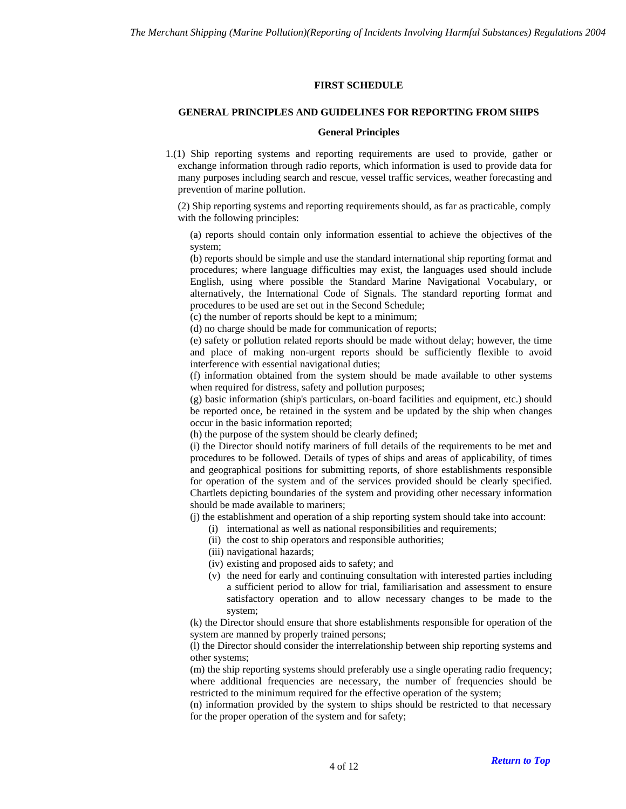## **FIRST SCHEDULE**

## **GENERAL PRINCIPLES AND GUIDELINES FOR REPORTING FROM SHIPS**

## **General Principles**

<span id="page-3-0"></span>1.(1) Ship reporting systems and reporting requirements are used to provide, gather or exchange information through radio reports, which information is used to provide data for many purposes including search and rescue, vessel traffic services, weather forecasting and prevention of marine pollution.

(2) Ship reporting systems and reporting requirements should, as far as practicable, comply with the following principles:

(a) reports should contain only information essential to achieve the objectives of the system;

(b) reports should be simple and use the standard international ship reporting format and procedures; where language difficulties may exist, the languages used should include English, using where possible the Standard Marine Navigational Vocabulary, or alternatively, the International Code of Signals. The standard reporting format and procedures to be used are set out in the Second Schedule;

(c) the number of reports should be kept to a minimum;

(d) no charge should be made for communication of reports;

(e) safety or pollution related reports should be made without delay; however, the time and place of making non-urgent reports should be sufficiently flexible to avoid interference with essential navigational duties;

(f) information obtained from the system should be made available to other systems when required for distress, safety and pollution purposes;

(g) basic information (ship's particulars, on-board facilities and equipment, etc.) should be reported once, be retained in the system and be updated by the ship when changes occur in the basic information reported;

(h) the purpose of the system should be clearly defined;

(i) the Director should notify mariners of full details of the requirements to be met and procedures to be followed. Details of types of ships and areas of applicability, of times and geographical positions for submitting reports, of shore establishments responsible for operation of the system and of the services provided should be clearly specified. Chartlets depicting boundaries of the system and providing other necessary information should be made available to mariners;

(j) the establishment and operation of a ship reporting system should take into account:

- (i) international as well as national responsibilities and requirements;
- (ii) the cost to ship operators and responsible authorities;
- (iii) navigational hazards;
- (iv) existing and proposed aids to safety; and
- (v) the need for early and continuing consultation with interested parties including a sufficient period to allow for trial, familiarisation and assessment to ensure satisfactory operation and to allow necessary changes to be made to the system;

(k) the Director should ensure that shore establishments responsible for operation of the system are manned by properly trained persons;

(l) the Director should consider the interrelationship between ship reporting systems and other systems;

(m) the ship reporting systems should preferably use a single operating radio frequency; where additional frequencies are necessary, the number of frequencies should be restricted to the minimum required for the effective operation of the system;

(n) information provided by the system to ships should be restricted to that necessary for the proper operation of the system and for safety;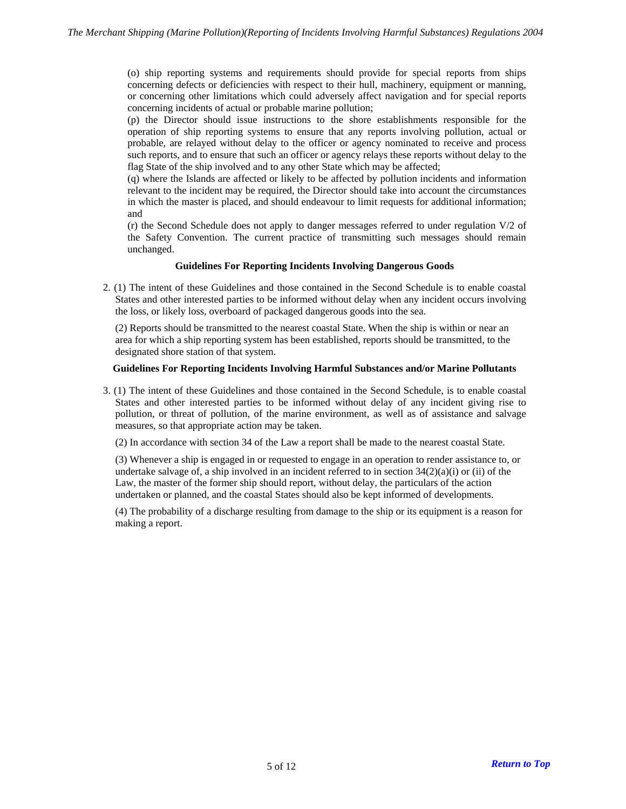(o) ship reporting systems and requirements should provide for special reports from ships concerning defects or deficiencies with respect to their hull, machinery, equipment or manning, or concerning other limitations which could adversely affect navigation and for special reports concerning incidents of actual or probable marine pollution;

(p) the Director should issue instructions to the shore establishments responsible for the operation of ship reporting systems to ensure that any reports involving pollution, actual or probable, are relayed without delay to the officer or agency nominated to receive and process such reports, and to ensure that such an officer or agency relays these reports without delay to the flag State of the ship involved and to any other State which may be affected;

(q) where the Islands are affected or likely to be affected by pollution incidents and information relevant to the incident may be required, the Director should take into account the circumstances in which the master is placed, and should endeavour to limit requests for additional information; and

(r) the Second Schedule does not apply to danger messages referred to under regulation V/2 of the Safety Convention. The current practice of transmitting such messages should remain unchanged.

#### **Guidelines For Reporting Incidents Involving Dangerous Goods**

2. (1) The intent of these Guidelines and those contained in the Second Schedule is to enable coastal States and other interested parties to be informed without delay when any incident occurs involving the loss, or likely loss, overboard of packaged dangerous goods into the sea.

(2) Reports should be transmitted to the nearest coastal State. When the ship is within or near an area for which a ship reporting system has been established, reports should be transmitted, to the designated shore station of that system.

#### **Guidelines For Reporting Incidents Involving Harmful Substances and/or Marine Pollutants**

3. (1) The intent of these Guidelines and those contained in the Second Schedule, is to enable coastal States and other interested parties to be informed without delay of any incident giving rise to pollution, or threat of pollution, of the marine environment, as well as of assistance and salvage measures, so that appropriate action may be taken.

(2) In accordance with section 34 of the Law a report shall be made to the nearest coastal State.

(3) Whenever a ship is engaged in or requested to engage in an operation to render assistance to, or undertake salvage of, a ship involved in an incident referred to in section  $34(2)(a)(i)$  or (ii) of the Law, the master of the former ship should report, without delay, the particulars of the action undertaken or planned, and the coastal States should also be kept informed of developments.

(4) The probability of a discharge resulting from damage to the ship or its equipment is a reason for making a report.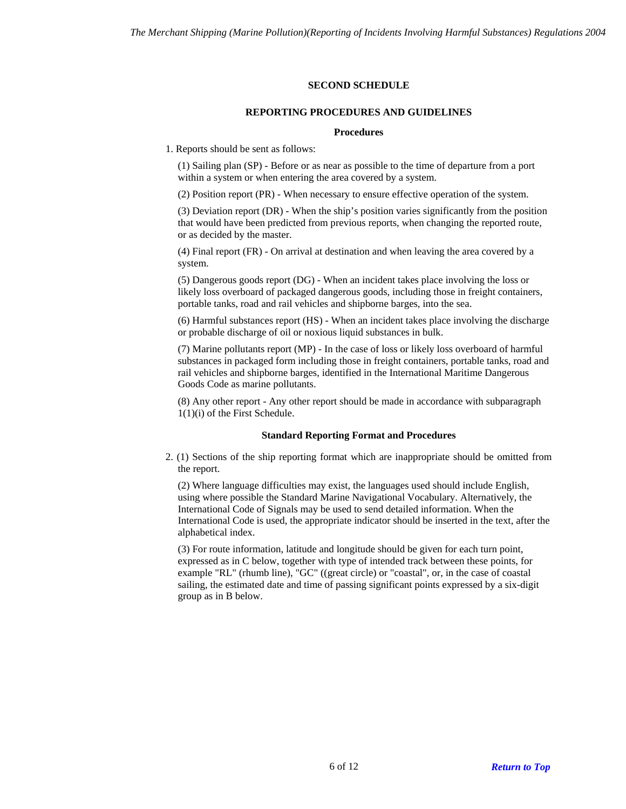## **SECOND SCHEDULE**

## **REPORTING PROCEDURES AND GUIDELINES**

## **Procedures**

<span id="page-5-0"></span>1. Reports should be sent as follows:

(1) Sailing plan (SP) - Before or as near as possible to the time of departure from a port within a system or when entering the area covered by a system.

(2) Position report (PR) - When necessary to ensure effective operation of the system.

(3) Deviation report (DR) - When the ship's position varies significantly from the position that would have been predicted from previous reports, when changing the reported route, or as decided by the master.

(4) Final report (FR) - On arrival at destination and when leaving the area covered by a system.

(5) Dangerous goods report (DG) - When an incident takes place involving the loss or likely loss overboard of packaged dangerous goods, including those in freight containers, portable tanks, road and rail vehicles and shipborne barges, into the sea.

(6) Harmful substances report (HS) - When an incident takes place involving the discharge or probable discharge of oil or noxious liquid substances in bulk.

(7) Marine pollutants report (MP) - In the case of loss or likely loss overboard of harmful substances in packaged form including those in freight containers, portable tanks, road and rail vehicles and shipborne barges, identified in the International Maritime Dangerous Goods Code as marine pollutants.

(8) Any other report - Any other report should be made in accordance with subparagraph 1(1)(i) of the First Schedule.

## **Standard Reporting Format and Procedures**

2. (1) Sections of the ship reporting format which are inappropriate should be omitted from the report.

(2) Where language difficulties may exist, the languages used should include English, using where possible the Standard Marine Navigational Vocabulary. Alternatively, the International Code of Signals may be used to send detailed information. When the International Code is used, the appropriate indicator should be inserted in the text, after the alphabetical index.

(3) For route information, latitude and longitude should be given for each turn point, expressed as in C below, together with type of intended track between these points, for example "RL" (rhumb line), "GC" ((great circle) or "coastal", or, in the case of coastal sailing, the estimated date and time of passing significant points expressed by a six-digit group as in B below.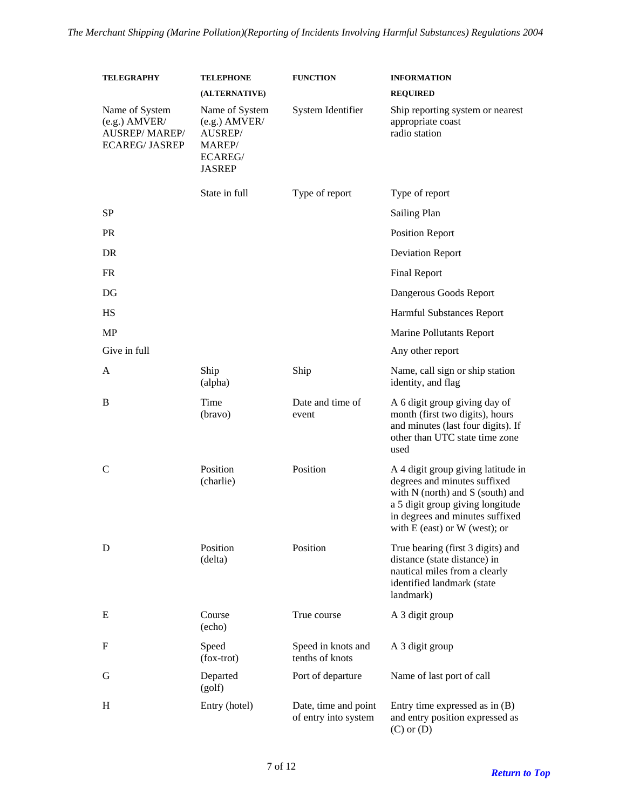| <b>TELEGRAPHY</b>                                                | <b>TELEPHONE</b>                                                        | <b>FUNCTION</b>                              | <b>INFORMATION</b>                                                                                                                                                                                                 |
|------------------------------------------------------------------|-------------------------------------------------------------------------|----------------------------------------------|--------------------------------------------------------------------------------------------------------------------------------------------------------------------------------------------------------------------|
| Name of System                                                   | (ALTERNATIVE)<br>Name of System                                         | System Identifier                            | <b>REQUIRED</b><br>Ship reporting system or nearest                                                                                                                                                                |
| $(e.g.)$ AMVER/<br><b>AUSREP/MAREP/</b><br><b>ECAREG/ JASREP</b> | $(e.g.)$ AMVER/<br>AUSREP/<br>MAREP/<br><b>ECAREG/</b><br><b>JASREP</b> |                                              | appropriate coast<br>radio station                                                                                                                                                                                 |
|                                                                  | State in full                                                           | Type of report                               | Type of report                                                                                                                                                                                                     |
| SP                                                               |                                                                         |                                              | <b>Sailing Plan</b>                                                                                                                                                                                                |
| <b>PR</b>                                                        |                                                                         |                                              | <b>Position Report</b>                                                                                                                                                                                             |
| <b>DR</b>                                                        |                                                                         |                                              | <b>Deviation Report</b>                                                                                                                                                                                            |
| <b>FR</b>                                                        |                                                                         |                                              | <b>Final Report</b>                                                                                                                                                                                                |
| DG                                                               |                                                                         |                                              | Dangerous Goods Report                                                                                                                                                                                             |
| HS                                                               |                                                                         |                                              | Harmful Substances Report                                                                                                                                                                                          |
| <b>MP</b>                                                        |                                                                         |                                              | <b>Marine Pollutants Report</b>                                                                                                                                                                                    |
| Give in full                                                     |                                                                         |                                              | Any other report                                                                                                                                                                                                   |
| A                                                                | Ship<br>(alpha)                                                         | Ship                                         | Name, call sign or ship station<br>identity, and flag                                                                                                                                                              |
| B                                                                | Time<br>(bravo)                                                         | Date and time of<br>event                    | A 6 digit group giving day of<br>month (first two digits), hours<br>and minutes (last four digits). If<br>other than UTC state time zone<br>used                                                                   |
| C                                                                | Position<br>(charlie)                                                   | Position                                     | A 4 digit group giving latitude in<br>degrees and minutes suffixed<br>with N (north) and S (south) and<br>a 5 digit group giving longitude<br>in degrees and minutes suffixed<br>with $E$ (east) or $W$ (west); or |
| D                                                                | Position<br>(delta)                                                     | Position                                     | True bearing (first 3 digits) and<br>distance (state distance) in<br>nautical miles from a clearly<br>identified landmark (state<br>landmark)                                                                      |
| E                                                                | Course<br>(echo)                                                        | True course                                  | A 3 digit group                                                                                                                                                                                                    |
| F                                                                | Speed<br>$(fox-trot)$                                                   | Speed in knots and<br>tenths of knots        | A 3 digit group                                                                                                                                                                                                    |
| G                                                                | Departed<br>(golf)                                                      | Port of departure                            | Name of last port of call                                                                                                                                                                                          |
| H                                                                | Entry (hotel)                                                           | Date, time and point<br>of entry into system | Entry time expressed as in $(B)$<br>and entry position expressed as<br>$(C)$ or $(D)$                                                                                                                              |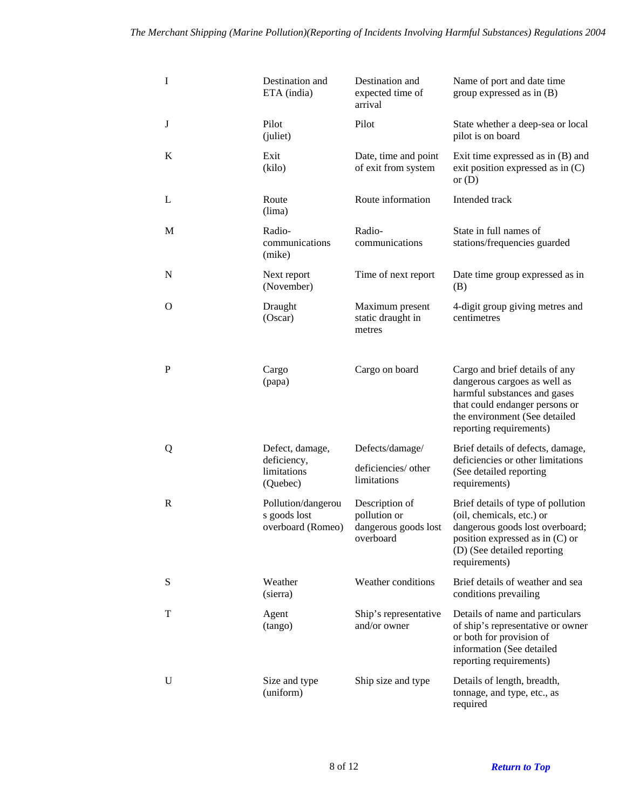| I            | Destination and<br>ETA (india)                            | Destination and<br>expected time of<br>arrival                                        | Name of port and date time<br>group expressed as in $(B)$                                                                                                                                    |
|--------------|-----------------------------------------------------------|---------------------------------------------------------------------------------------|----------------------------------------------------------------------------------------------------------------------------------------------------------------------------------------------|
| J            | Pilot<br>(juliet)                                         | Pilot                                                                                 | State whether a deep-sea or local<br>pilot is on board                                                                                                                                       |
| K            | Exit<br>(kilo)                                            | Date, time and point<br>of exit from system                                           | Exit time expressed as in $(B)$ and<br>exit position expressed as in $(C)$<br>or $(D)$                                                                                                       |
| L            | Route<br>(lima)                                           | Route information                                                                     | Intended track                                                                                                                                                                               |
| M            | Radio-<br>communications<br>(mike)                        | Radio-<br>communications                                                              | State in full names of<br>stations/frequencies guarded                                                                                                                                       |
| N            | Next report<br>(November)                                 | Time of next report                                                                   | Date time group expressed as in<br>(B)                                                                                                                                                       |
| O            | Draught<br>(Oscar)                                        | Maximum present<br>static draught in<br>metres                                        | 4-digit group giving metres and<br>centimetres                                                                                                                                               |
| P            | Cargo<br>(papa)                                           | Cargo on board                                                                        | Cargo and brief details of any<br>dangerous cargoes as well as<br>harmful substances and gases<br>that could endanger persons or<br>the environment (See detailed<br>reporting requirements) |
| Q            | Defect, damage,<br>deficiency,<br>limitations<br>(Quebec) | Defects/damage/<br>deficiencies/ other<br>limitations                                 | Brief details of defects, damage,<br>deficiencies or other limitations<br>(See detailed reporting<br>requirements)                                                                           |
| $\mathbb{R}$ | Pollution/dangerou<br>s goods lost                        | Description of<br>pollution or<br>overboard (Romeo) dangerous goods lost<br>overboard | Brief details of type of pollution<br>(oil, chemicals, etc.) or<br>dangerous goods lost overboard;<br>position expressed as in $(C)$ or<br>(D) (See detailed reporting<br>requirements)      |
| S            | Weather<br>(sierra)                                       | Weather conditions                                                                    | Brief details of weather and sea<br>conditions prevailing                                                                                                                                    |
| T            | Agent<br>(tango)                                          | Ship's representative<br>and/or owner                                                 | Details of name and particulars<br>of ship's representative or owner<br>or both for provision of<br>information (See detailed<br>reporting requirements)                                     |
| U            | Size and type<br>(uniform)                                | Ship size and type                                                                    | Details of length, breadth,<br>tonnage, and type, etc., as<br>required                                                                                                                       |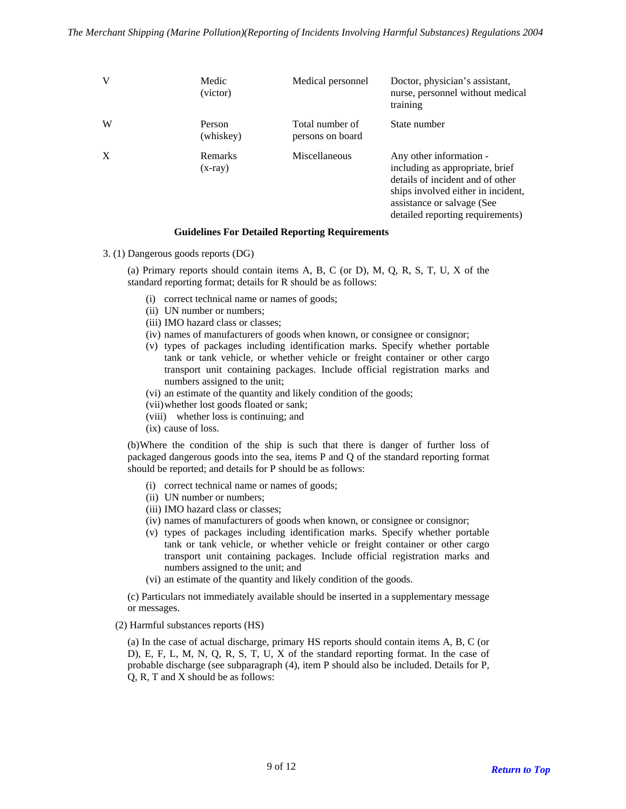| v | Medic<br>(victor)    | Medical personnel                   | Doctor, physician's assistant,<br>nurse, personnel without medical<br>training                                                                                                                         |
|---|----------------------|-------------------------------------|--------------------------------------------------------------------------------------------------------------------------------------------------------------------------------------------------------|
| W | Person<br>(whiskey)  | Total number of<br>persons on board | State number                                                                                                                                                                                           |
| X | Remarks<br>$(x-ray)$ | Miscellaneous                       | Any other information -<br>including as appropriate, brief<br>details of incident and of other<br>ships involved either in incident,<br>assistance or salvage (See<br>detailed reporting requirements) |

#### **Guidelines For Detailed Reporting Requirements**

3. (1) Dangerous goods reports (DG)

(a) Primary reports should contain items A, B, C (or D), M, Q, R, S, T, U, X of the standard reporting format; details for R should be as follows:

- (i) correct technical name or names of goods;
- (ii) UN number or numbers;
- (iii) IMO hazard class or classes;
- (iv) names of manufacturers of goods when known, or consignee or consignor;
- (v) types of packages including identification marks. Specify whether portable tank or tank vehicle, or whether vehicle or freight container or other cargo transport unit containing packages. Include official registration marks and numbers assigned to the unit;
- (vi) an estimate of the quantity and likely condition of the goods;
- (vii) whether lost goods floated or sank;
- (viii) whether loss is continuing; and
- (ix) cause of loss.

(b) Where the condition of the ship is such that there is danger of further loss of packaged dangerous goods into the sea, items P and Q of the standard reporting format should be reported; and details for P should be as follows:

- (i) correct technical name or names of goods;
- (ii) UN number or numbers;
- (iii) IMO hazard class or classes;
- (iv) names of manufacturers of goods when known, or consignee or consignor;
- (v) types of packages including identification marks. Specify whether portable tank or tank vehicle, or whether vehicle or freight container or other cargo transport unit containing packages. Include official registration marks and numbers assigned to the unit; and
- (vi) an estimate of the quantity and likely condition of the goods.

(c) Particulars not immediately available should be inserted in a supplementary message or messages.

(2) Harmful substances reports (HS)

(a) In the case of actual discharge, primary HS reports should contain items A, B, C (or D), E, F, L, M, N, Q, R, S, T, U, X of the standard reporting format. In the case of probable discharge (see subparagraph (4), item P should also be included. Details for P, Q, R, T and X should be as follows: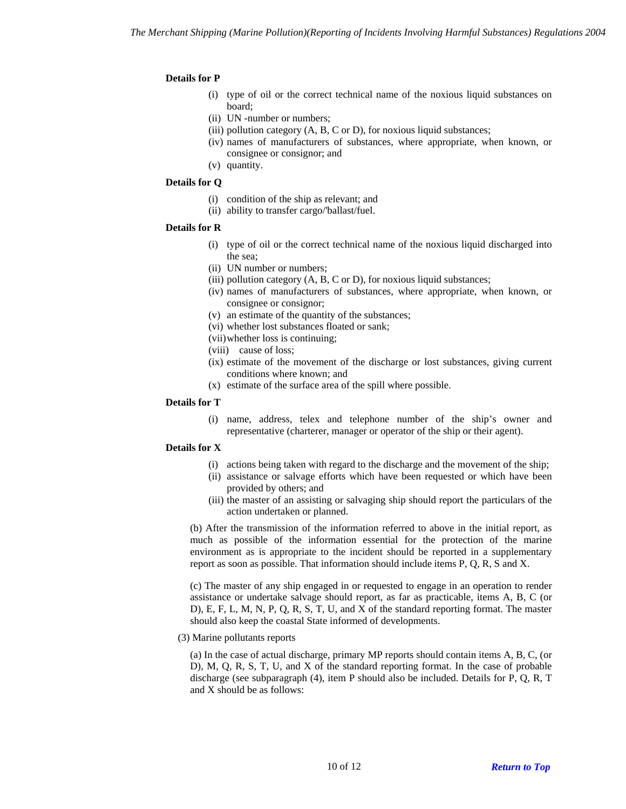## **Details for P**

- (i) type of oil or the correct technical name of the noxious liquid substances on board;
- (ii) UN -number or numbers;
- (iii) pollution category (A, B, C or D), for noxious liquid substances;
- (iv) names of manufacturers of substances, where appropriate, when known, or consignee or consignor; and
- (v) quantity.

#### **Details for Q**

- (i) condition of the ship as relevant; and
- (ii) ability to transfer cargo/'ballast/fuel.

#### **Details for R**

- (i) type of oil or the correct technical name of the noxious liquid discharged into the sea;
- (ii) UN number or numbers;
- (iii) pollution category  $(A, B, C \text{ or } D)$ , for noxious liquid substances;
- (iv) names of manufacturers of substances, where appropriate, when known, or consignee or consignor;
- (v) an estimate of the quantity of the substances;
- (vi) whether lost substances floated or sank;
- (vii) whether loss is continuing;
- (viii) cause of loss;
- (ix) estimate of the movement of the discharge or lost substances, giving current conditions where known; and
- (x) estimate of the surface area of the spill where possible.

## **Details for T**

(i) name, address, telex and telephone number of the ship's owner and representative (charterer, manager or operator of the ship or their agent).

#### **Details for X**

- (i) actions being taken with regard to the discharge and the movement of the ship;
- (ii) assistance or salvage efforts which have been requested or which have been provided by others; and
- (iii) the master of an assisting or salvaging ship should report the particulars of the action undertaken or planned.

(b) After the transmission of the information referred to above in the initial report, as much as possible of the information essential for the protection of the marine environment as is appropriate to the incident should be reported in a supplementary report as soon as possible. That information should include items P, Q, R, S and X.

(c) The master of any ship engaged in or requested to engage in an operation to render assistance or undertake salvage should report, as far as practicable, items A, B, C (or D), E, F, L, M, N, P, Q, R, S, T, U, and X of the standard reporting format. The master should also keep the coastal State informed of developments.

(3) Marine pollutants reports

(a) In the case of actual discharge, primary MP reports should contain items A, B, C, (or D), M, Q, R, S, T, U, and X of the standard reporting format. In the case of probable discharge (see subparagraph (4), item P should also be included. Details for P, Q, R, T and X should be as follows: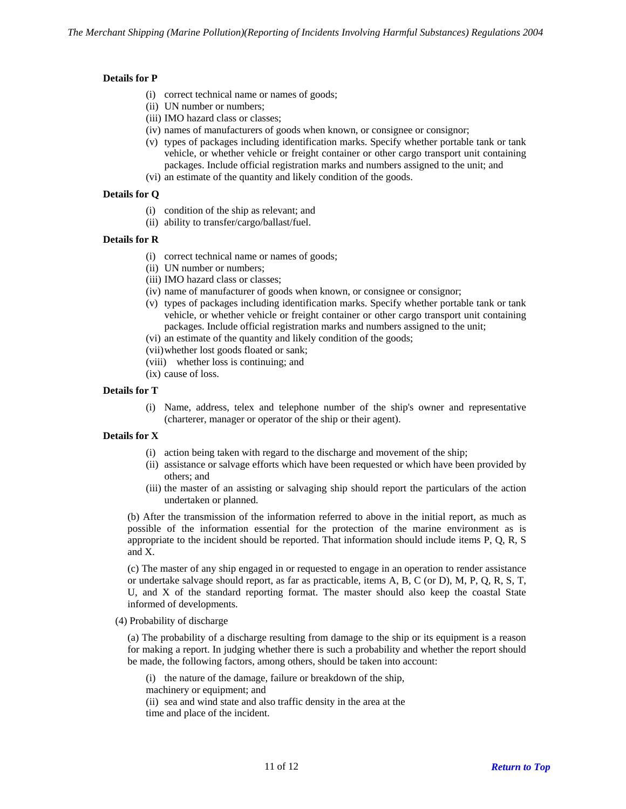## **Details for P**

- (i) correct technical name or names of goods;
- (ii) UN number or numbers;
- (iii) IMO hazard class or classes;
- (iv) names of manufacturers of goods when known, or consignee or consignor;
- (v) types of packages including identification marks. Specify whether portable tank or tank vehicle, or whether vehicle or freight container or other cargo transport unit containing packages. Include official registration marks and numbers assigned to the unit; and
- (vi) an estimate of the quantity and likely condition of the goods.

## **Details for Q**

- (i) condition of the ship as relevant; and
- (ii) ability to transfer/cargo/ballast/fuel.

## **Details for R**

- (i) correct technical name or names of goods;
- (ii) UN number or numbers;
- (iii) IMO hazard class or classes;
- (iv) name of manufacturer of goods when known, or consignee or consignor;
- (v) types of packages including identification marks. Specify whether portable tank or tank vehicle, or whether vehicle or freight container or other cargo transport unit containing packages. Include official registration marks and numbers assigned to the unit;
- (vi) an estimate of the quantity and likely condition of the goods;
- (vii) whether lost goods floated or sank;
- (viii) whether loss is continuing; and
- (ix) cause of loss.

## **Details for T**

(i) Name, address, telex and telephone number of the ship's owner and representative (charterer, manager or operator of the ship or their agent).

#### **Details for X**

- (i) action being taken with regard to the discharge and movement of the ship;
- (ii) assistance or salvage efforts which have been requested or which have been provided by others; and
- (iii) the master of an assisting or salvaging ship should report the particulars of the action undertaken or planned.

(b) After the transmission of the information referred to above in the initial report, as much as possible of the information essential for the protection of the marine environment as is appropriate to the incident should be reported. That information should include items P, Q, R, S and X.

(c) The master of any ship engaged in or requested to engage in an operation to render assistance or undertake salvage should report, as far as practicable, items A, B, C (or D), M, P, Q, R, S, T, U, and X of the standard reporting format. The master should also keep the coastal State informed of developments.

(4) Probability of discharge

(a) The probability of a discharge resulting from damage to the ship or its equipment is a reason for making a report. In judging whether there is such a probability and whether the report should be made, the following factors, among others, should be taken into account:

(i) the nature of the damage, failure or breakdown of the ship,

machinery or equipment; and

(ii) sea and wind state and also traffic density in the area at the time and place of the incident.